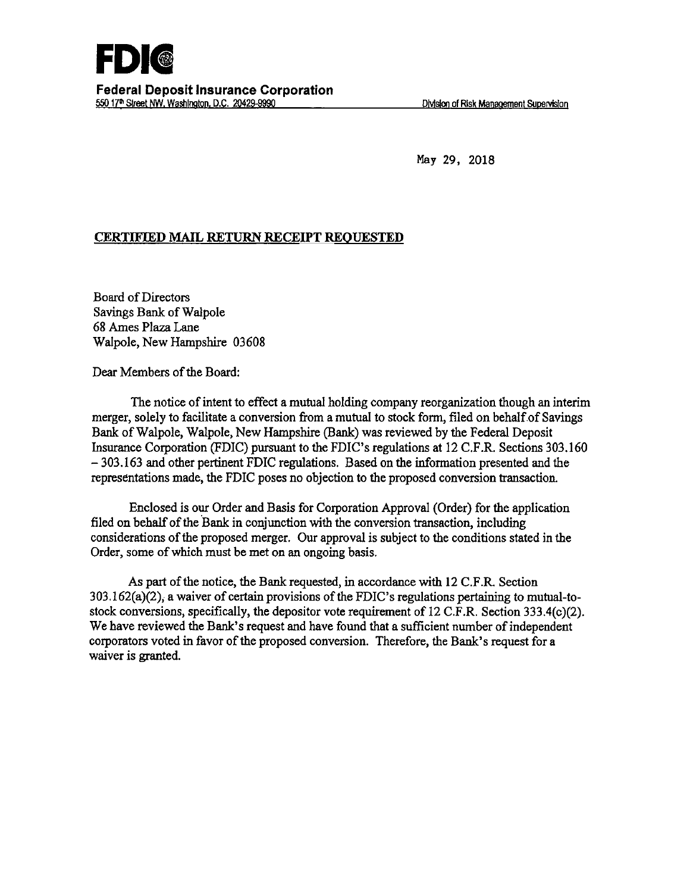May 29, 2018

## **CERTIFIED MAIL RETURN RECEIPT REQUESTED**

Board of Directors Savings Bank of Walpole 68 Ames Plaza.Lane Walpole, New Hampshire 03608

Dear Members of the Board:

The notice of intent to effect a mutual holding company reorganization though an interim merger, solely to facilitate a conversion from a mutual to stock form, filed on behalf of Savings Bank of Walpole, Walpole, New Hampshire (Bank) was reviewed by the Federal Deposit Insurance Corporation (FDIC) pursuant to the FDIC's regulations at 12 C.F.R. Sections 303.160  $-303.163$  and other pertinent FDIC regulations. Based on the information presented and the representations made, the FDIC poses no objection to the proposed conversion transaction.

Enclosed is our Order and Basis for Corporation Approval (Order) for the application filed on behalf of the Bank in conjunction with the conversion transaction, including considerations of the proposed merger. Our approval is subject to the conditions stated in the Order, some of which must be met on an ongoing basis.

As part of the notice, the Bank requested, in accordance with 12 C.F.R. Section 303.162(a)(2), a waiver of certain provisions of the FDIC's regulations pertaining to mutual-tostock conversions, specifically, the depositor vote requirement of 12 C.F.R. Section 333.4(c)(2). We have reviewed the Bank's request and have found that a sufficient number of independent corporators voted in favor of the proposed conversion. Therefore, the Bank's request for a waiver is granted.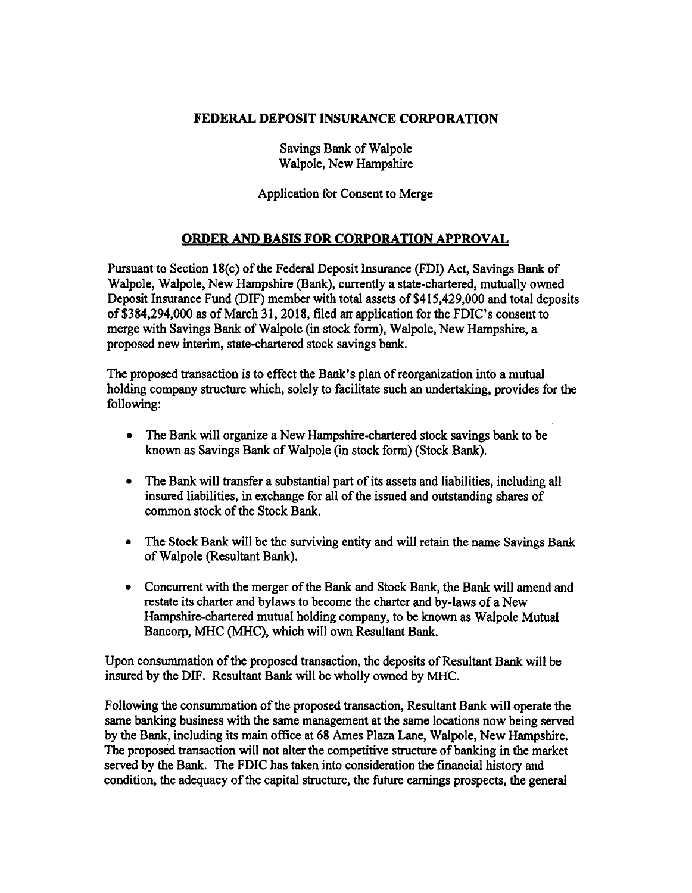## **FEDERAL DEPOSIT INSURANCE CORPORATION**

Savings Bank of Walpole Walpole, New Hampshire

Application for Consent to Merge

## **ORDER AND BASIS FOR CORPORATION APPROVAL**

Pursuant to Section 18(c) of the Federal Deposit Insurance (FDI) Act, Savings Banlc of Walpole, Walpole, New Hampshire (Bank), currently a state-chartered, mutually owned Deposit Insurance Fund (DIF) member with total assets of \$415,429,000 and total deposits of\$384,294,000 as of March 31, 2018, filed an application for the FDIC's consent to merge with Savings Bank of Walpole (in stock form), Walpole, New Hampshire, a proposed new interim, state-chartered stock savings bank.

The proposed transaction is to effect the Bank's plan of reorganization into a mutual holding company structure which, solely to facilitate such an undertaking, provides for the following:

- The Bank will organize a New Hampshire-chartered stock savings bank to be known as Savings Bank of Walpole (in stock form) (Stock Bank).
- The Bank will transfer a substantial part of its assets and liabilities, including all insured liabilities, in exchange for all of the issued and outstanding shares of common stock of the Stock Bank.
- The Stock Bank will be the surviving entity and will retain the name Savings Bank of Walpole (Resultant Bank).
- Concurrent with the merger of the Bank and Stock Bank, the Bank will amend and restate its charter and bylaws to become the charter and by-laws of a New Hampshire-chartered mutual holding company, to be known as Walpole Mutual Bancorp, MHC (MHC), which will own Resultant Bank.

Upon consummation of the proposed transaction, the deposits of Resultant Bank will be insured by the DIF. Resultant Bank will be wholly owned by MHC.

Following the consummation of the proposed transaction, Resultant Bank will operate the same banking business with the same management at the same locations now being served by the Bank, including its main office at 68 Ames Plaza Lane, Walpole, New Hampshire. The proposed transaction will not alter the competitive structure of banking in the market served by the Bank. The FDIC has taken into consideration the financial history and condition, the adequacy of the capital structure, the future earnings prospects, the general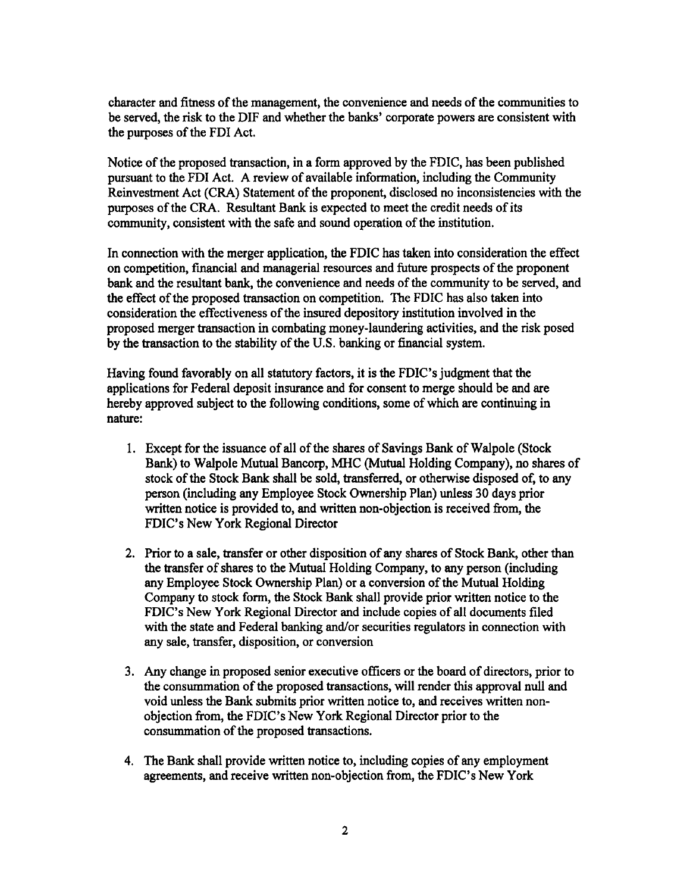character and fitness of the management, the convenience and needs of the communities to be served, the risk to the DIF and whether the banks' corporate powers are consistent with the purposes of the FDI Act.

Notice of the proposed transaction, in a form approved by the FDIC, has been published pursuant to the FDI Act. A review of available information, including the Community Reinvestment Act (CRA) Statement of the proponent, disclosed no inconsistencies with the purposes of the CRA. Resultant Bank is expected to meet the credit needs of its community, consistent with the safe and sound operation of the institution.

In connection with the merger application, the FDIC has taken into consideration the effect on competition, financial and managerial resources and future prospects of the proponent bank and the resultant bank, the convenience and needs of the community to be served, and the effect of the proposed transaction on competition. The FDIC has also taken into consideration the effectiveness of the insured depository institution involved in the proposed merger transaction in combating money-laundering activities, and the risk posed by the transaction to the stability of the U.S. banking or financial system.

Having found favorably on all statutory factors, it is the FDIC's judgment that the applications for Federal deposit insurance and for consent to merge should be and are hereby approved subject to the following conditions, some of which are continuing in nature:

- 1. Except for the issuance of all of the shares of Savings Bank of Walpole (Stock Bank) to Walpole Mutual Bancorp, MHC (Mutual Holding Company), no shares of stock of the Stock Bank shall be sold, transferred, or otherwise disposed of, to any person (including any Employee Stock Ownership Plan) unless 30 days prior written notice is provided to, and written non-objection is received from, the FDIC's New York Regional Director
- 2. Prior to a sale, transfer or other disposition of any shares of Stock Bank, other than the transfer of shares to the Mutual Holding Company, to any person (including any Employee Stock Ownership Plan) or a conversion of the Mutual Holding Company to stock form, the Stock Bank shall provide prior written notice to the FDIC's New York Regional Director and include copies of all documents filed with the state and Federal banking and/or securities regulators in connection with any sale, transfer, disposition, or conversion
- 3. Any change in proposed senior executive officers or the board of directors, prior to the consummation of the proposed transactions, will render this approval null and void unless the Bank submits prior written notice to, and receives written nonobjection from, the FDIC's New York Regional Director prior to the consummation of the proposed transactions.
- 4. The Bank shall provide written notice to, including copies of any employment agreements, and receive written non-objection from, the FDIC's New York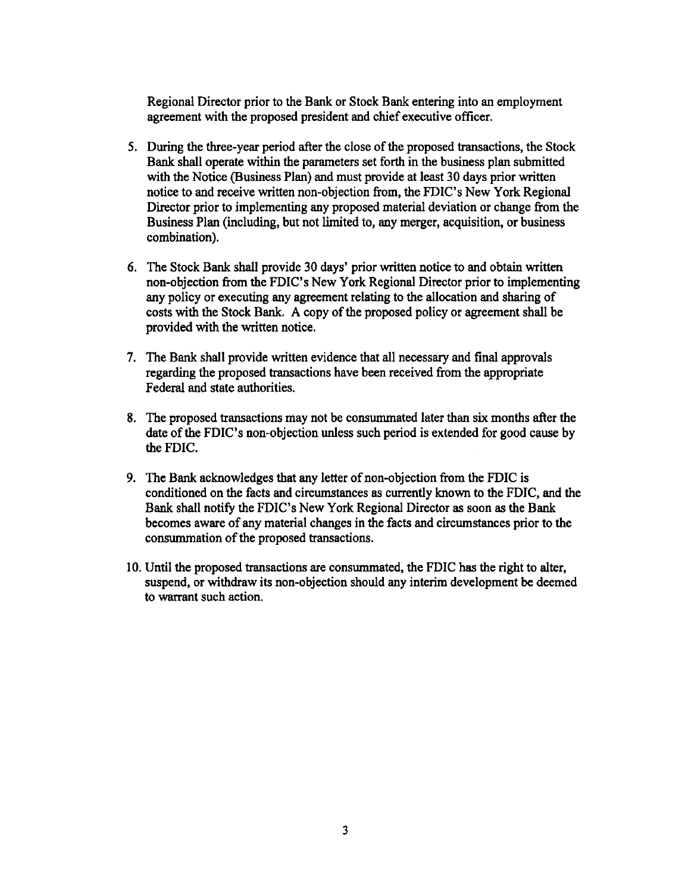Regional Director prior to the Bank or Stock Bank entering into an employment agreement with the proposed president and chief executive officer.

- *S.* During the three-year period after the close of the proposed transactions, the Stock Bank shall operate within the parameters set forth in the business plan submitted with the Notice (Business Plan) and must provide at least 30 days prior written notice to and receive written non-objection from, the FDIC's New York Regional Director prior to implementing any proposed material deviation or change from the Business Plan (including, but not limited to, any merger, acquisition, or business combination).
- 6. The Stock Bank shall provide 30 days' prior written notice to and obtain written non-objection from the FDIC's New York Regional Director prior to implementing any policy or executing any agreement relating to the allocation and sharing of costs with the Stock Bank. A copy of the proposed policy or agreement shall be provided with the written notice.
- 7. The Bank shall provide written evidence that all necessary and final approvals regarding the proposed transactions have been received from the appropriate Federal and state authorities.
- 8. The proposed transactions may not be consummated later than six months after the date of the FDIC's non-objection unless such period is extended for good cause by the FDIC.
- 9. The Bank acknowledges that any letter of non-objection from the FDIC is conditioned on the facts and circumstances as currently known to the FDIC, and the Bank shall notify the FDIC's New York Regional Director as soon as the Bank becomes aware of any material changes in the facts and circumstances prior to the consummation of the proposed transactions.
- 10. Until the proposed transactions are consummated, the FDIC has the right to alter, suspend, or withdraw its non-objection should any interim development be deemed to warrant such action.